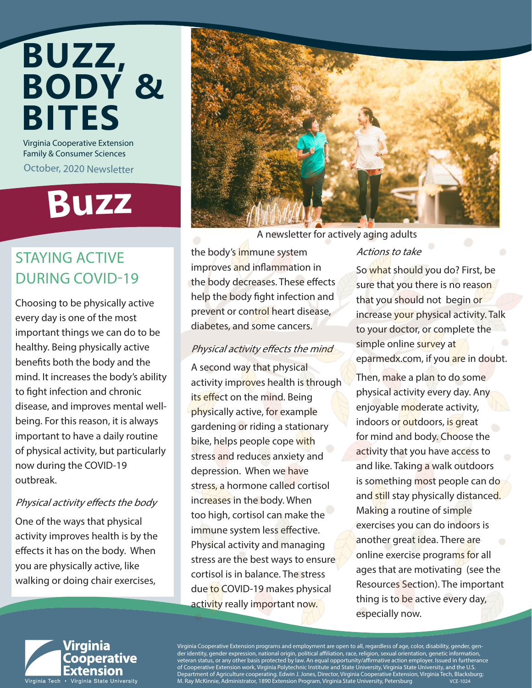## Virginia Cooperative Extension **BUZZ, BODY & BITES**

Family & Consumer Sciences

October, 2020 Newsletter

# **Buz<sup>z</sup>**

### STAYING ACTIVE DURING COVID-19

Choosing to be physically active every day is one of the most important things we can do to be healthy. Being physically active benefits both the body and the mind. It increases the body's ability to fight infection and chronic disease, and improves mental wellbeing. For this reason, it is always important to have a daily routine of physical activity, but particularly now during the COVID-19 outbreak.

#### Physical activity effects the body

One of the ways that physical activity improves health is by the effects it has on the body. When you are physically active, like walking or doing chair exercises,



A newsletter for actively aging adults

the body's immune system improves and inflammation in the body decreases. These effects help the body fight infection and prevent or control heart disease,

diabetes, and some cancers.

A second way that physical

its effect on the mind. Being physically active, for example gardening or riding a stationary bike, helps people cope with stress and reduces anxiety and depression. When we have

stress, a hormone called cortisol

increases in the body. When too high, cortisol can make the immune system less effective. Physical activity and managing stress are the best ways to ensure cortisol is in balance. The stress due to COVID-19 makes physical activity really important now.

Physical activity effects the mind

activity improves health is through

#### Actions to take

So what should you do? First, be sure that you there is no reason that you should not begin or increase your physical activity. Talk to your doctor, or complete the simple online survey at eparmedx.com, if you are in doubt.

Then, make a plan to do some physical activity every day. Any enjoyable moderate activity, indoors or outdoors, is great for mind and body. Choose the activity that you have access to and like. Taking a walk outdoors is something most people can do and still stay physically distanced. Making a routine of simple exercises you can do indoors is another great idea. There are online exercise programs for all ages that are motivating (see the Resources Section). The important thing is to be active every day, especially now.



Virginia Cooperative Extension programs and employment are open to all, regardless of age, color, disability, gender, gender identity, gender expression, national origin, political affiliation, race, religion, sexual orientation, genetic information, veteran status, or any other basis protected by law. An equal opportunity/affirmative action employer. Issued in furtherance of Cooperative Extension work, Virginia Polytechnic Institute and State University, Virginia State University, and the U.S. Department of Agriculture cooperating. Edwin J. Jones, Director, Virginia Cooperative Extension, Virginia Tech, Blacksburg;<br>M. Ray McKinnie, Administrator, 1890 Extension Program, Virginia State University, Petersburg